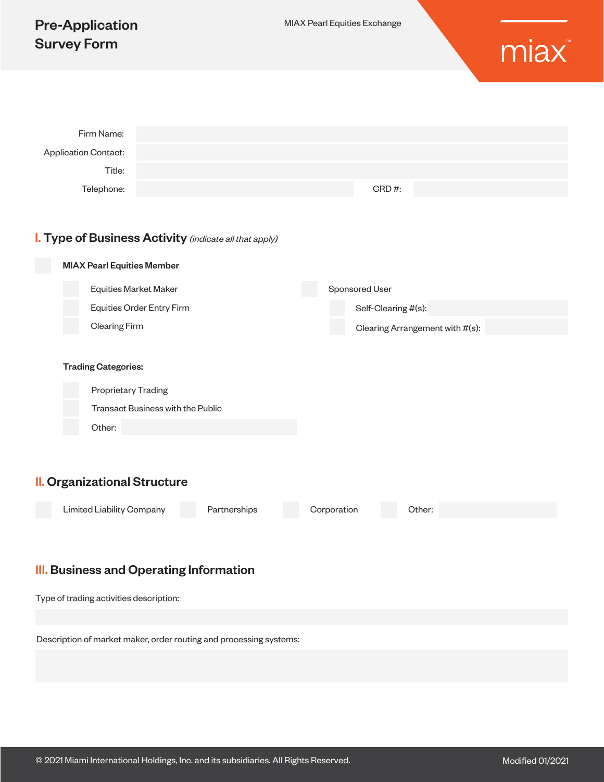| <b>Pre-Application</b><br><b>Survey Form</b>                       |                                                        | MIAX Pearl Equities Exchange |                                 |  |  |  |
|--------------------------------------------------------------------|--------------------------------------------------------|------------------------------|---------------------------------|--|--|--|
|                                                                    |                                                        |                              |                                 |  |  |  |
| Firm Name:                                                         |                                                        |                              |                                 |  |  |  |
| <b>Application Contact:</b>                                        |                                                        |                              |                                 |  |  |  |
| Title:                                                             |                                                        |                              |                                 |  |  |  |
| Telephone:                                                         |                                                        |                              | CRD#:                           |  |  |  |
|                                                                    |                                                        |                              |                                 |  |  |  |
|                                                                    | I. Type of Business Activity (indicate all that apply) |                              |                                 |  |  |  |
| <b>MIAX Pearl Equities Member</b>                                  |                                                        |                              |                                 |  |  |  |
|                                                                    | <b>Equities Market Maker</b>                           |                              | Sponsored User                  |  |  |  |
|                                                                    | Equities Order Entry Firm                              |                              | Self-Clearing #(s):             |  |  |  |
| <b>Clearing Firm</b>                                               |                                                        |                              | Clearing Arrangement with #(s): |  |  |  |
|                                                                    |                                                        |                              |                                 |  |  |  |
| <b>Trading Categories:</b>                                         |                                                        |                              |                                 |  |  |  |
| Proprietary Trading                                                |                                                        |                              |                                 |  |  |  |
|                                                                    | Transact Business with the Public                      |                              |                                 |  |  |  |
| Other:                                                             |                                                        |                              |                                 |  |  |  |
|                                                                    |                                                        |                              |                                 |  |  |  |
|                                                                    |                                                        |                              |                                 |  |  |  |
| <b>II. Organizational Structure</b>                                |                                                        |                              |                                 |  |  |  |
| Limited Liability Company                                          | Partnerships                                           | Corporation                  | Other:                          |  |  |  |
|                                                                    |                                                        |                              |                                 |  |  |  |
|                                                                    |                                                        |                              |                                 |  |  |  |
| <b>III.</b> Business and Operating Information                     |                                                        |                              |                                 |  |  |  |
| Type of trading activities description:                            |                                                        |                              |                                 |  |  |  |
|                                                                    |                                                        |                              |                                 |  |  |  |
| Description of market maker, order routing and processing systems: |                                                        |                              |                                 |  |  |  |